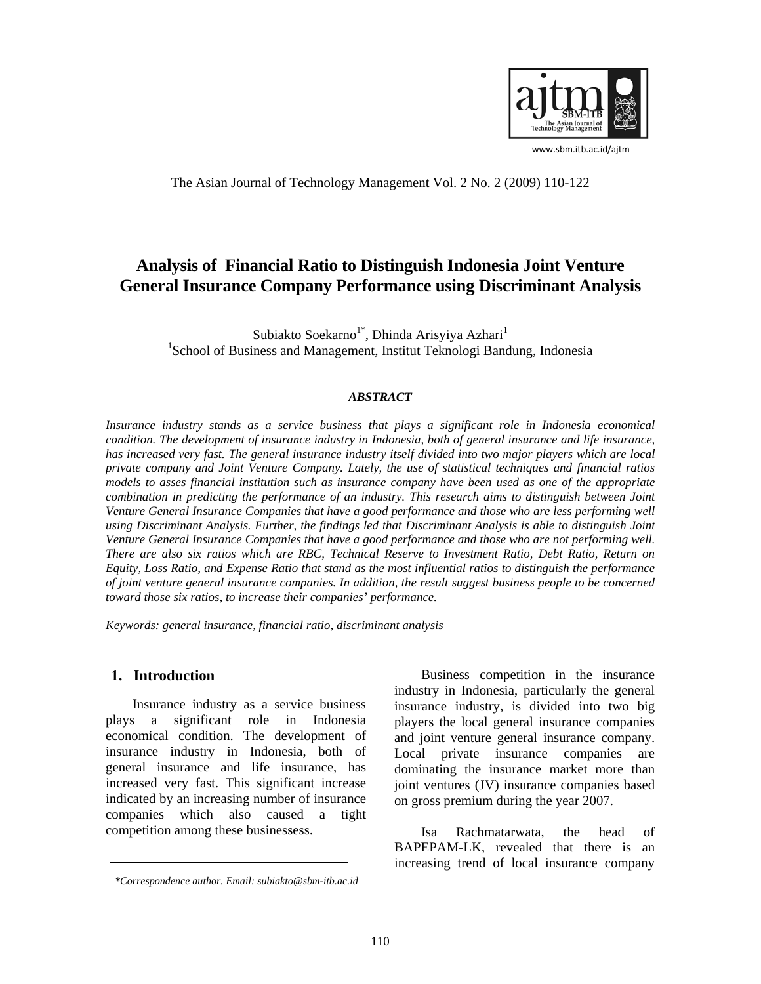

www.sbm.itb.ac.id/ajtm

The Asian Journal of Technology Management Vol. 2 No. 2 (2009) 110-122

# **Analysis of Financial Ratio to Distinguish Indonesia Joint Venture General Insurance Company Performance using Discriminant Analysis**

Subiakto Soekarno<sup>1\*</sup>, Dhinda Arisyiya Azhari<sup>1</sup><br><sup>1</sup>Sebeel of Business and Managament, Institut Teknologi Band <sup>1</sup>School of Business and Management, Institut Teknologi Bandung, Indonesia

#### *ABSTRACT*

*Insurance industry stands as a service business that plays a significant role in Indonesia economical condition. The development of insurance industry in Indonesia, both of general insurance and life insurance, has increased very fast. The general insurance industry itself divided into two major players which are local private company and Joint Venture Company. Lately, the use of statistical techniques and financial ratios models to asses financial institution such as insurance company have been used as one of the appropriate combination in predicting the performance of an industry. This research aims to distinguish between Joint Venture General Insurance Companies that have a good performance and those who are less performing well using Discriminant Analysis. Further, the findings led that Discriminant Analysis is able to distinguish Joint Venture General Insurance Companies that have a good performance and those who are not performing well. There are also six ratios which are RBC, Technical Reserve to Investment Ratio, Debt Ratio, Return on Equity, Loss Ratio, and Expense Ratio that stand as the most influential ratios to distinguish the performance of joint venture general insurance companies. In addition, the result suggest business people to be concerned toward those six ratios, to increase their companies' performance.* 

*Keywords: general insurance, financial ratio, discriminant analysis* 

#### **1. Introduction**

Insurance industry as a service business plays a significant role in Indonesia economical condition. The development of insurance industry in Indonesia, both of general insurance and life insurance, has increased very fast. This significant increase indicated by an increasing number of insurance companies which also caused a tight competition among these businessess.

Business competition in the insurance industry in Indonesia, particularly the general insurance industry, is divided into two big players the local general insurance companies and joint venture general insurance company. Local private insurance companies are dominating the insurance market more than joint ventures (JV) insurance companies based on gross premium during the year 2007.

Isa Rachmatarwata, the head of BAPEPAM-LK, revealed that there is an increasing trend of local insurance company

*<sup>\*</sup>Correspondence author. Email: subiakto@sbm-itb.ac.id*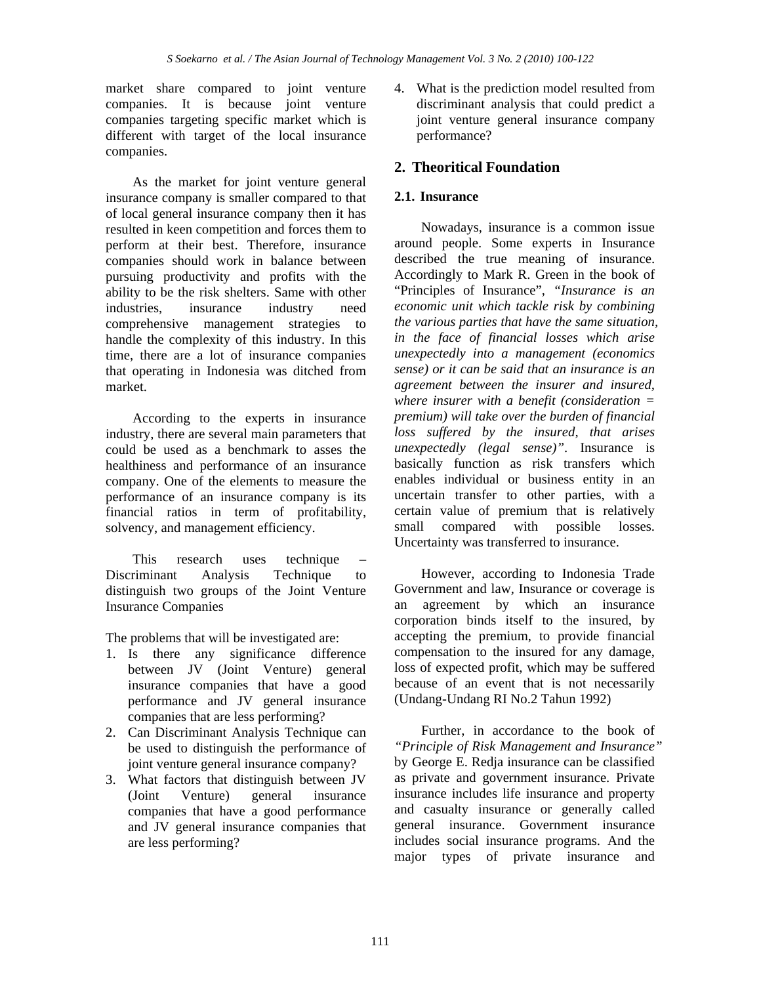market share compared to joint venture companies. It is because joint venture companies targeting specific market which is different with target of the local insurance companies.

As the market for joint venture general insurance company is smaller compared to that of local general insurance company then it has resulted in keen competition and forces them to perform at their best. Therefore, insurance companies should work in balance between pursuing productivity and profits with the ability to be the risk shelters. Same with other industries, insurance industry need comprehensive management strategies to handle the complexity of this industry. In this time, there are a lot of insurance companies that operating in Indonesia was ditched from market.

According to the experts in insurance industry, there are several main parameters that could be used as a benchmark to asses the healthiness and performance of an insurance company. One of the elements to measure the performance of an insurance company is its financial ratios in term of profitability, solvency, and management efficiency.

This research uses technique – Discriminant Analysis Technique to distinguish two groups of the Joint Venture Insurance Companies

The problems that will be investigated are:

- 1. Is there any significance difference between JV (Joint Venture) general insurance companies that have a good performance and JV general insurance companies that are less performing?
- 2. Can Discriminant Analysis Technique can be used to distinguish the performance of joint venture general insurance company?
- 3. What factors that distinguish between JV (Joint Venture) general insurance companies that have a good performance and JV general insurance companies that are less performing?

4. What is the prediction model resulted from discriminant analysis that could predict a joint venture general insurance company performance?

## **2. Theoritical Foundation**

### **2.1. Insurance**

Nowadays, insurance is a common issue around people. Some experts in Insurance described the true meaning of insurance. Accordingly to Mark R. Green in the book of "Principles of Insurance", *"Insurance is an economic unit which tackle risk by combining the various parties that have the same situation, in the face of financial losses which arise unexpectedly into a management (economics sense) or it can be said that an insurance is an agreement between the insurer and insured, where insurer with a benefit (consideration = premium) will take over the burden of financial loss suffered by the insured, that arises unexpectedly (legal sense)"*. Insurance is basically function as risk transfers which enables individual or business entity in an uncertain transfer to other parties, with a certain value of premium that is relatively small compared with possible losses. Uncertainty was transferred to insurance.

However, according to Indonesia Trade Government and law*,* Insurance or coverage is an agreement by which an insurance corporation binds itself to the insured, by accepting the premium, to provide financial compensation to the insured for any damage, loss of expected profit, which may be suffered because of an event that is not necessarily (Undang-Undang RI No.2 Tahun 1992)

Further, in accordance to the book of *"Principle of Risk Management and Insurance"* by George E. Redja insurance can be classified as private and government insurance. Private insurance includes life insurance and property and casualty insurance or generally called general insurance. Government insurance includes social insurance programs. And the major types of private insurance and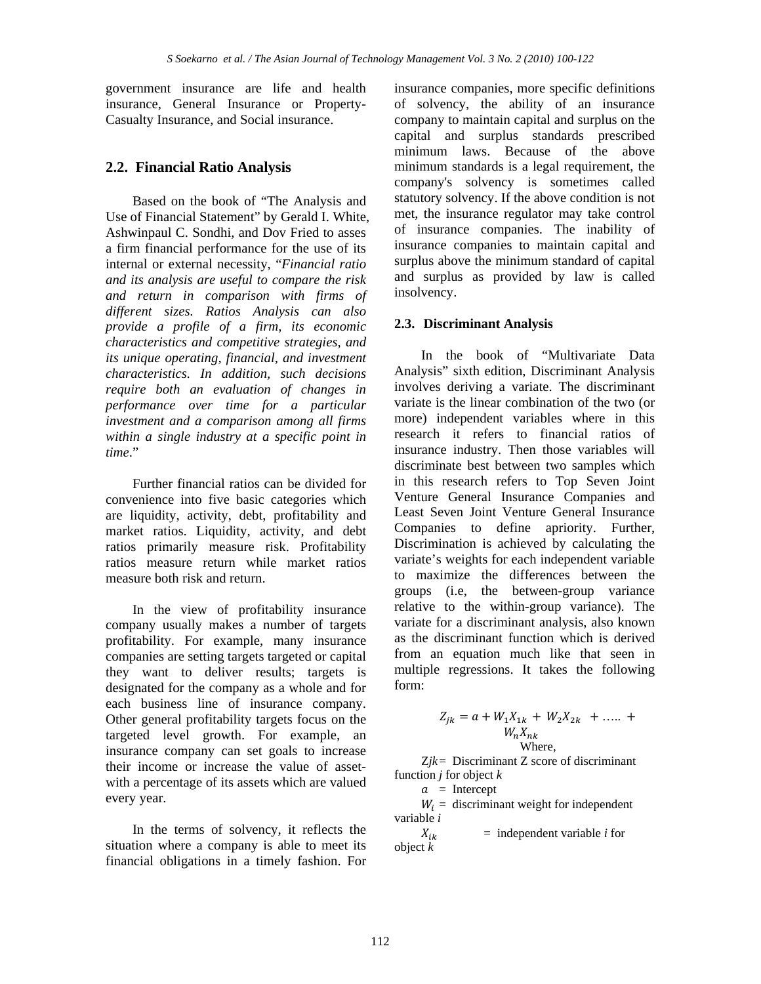government insurance are life and health insurance, General Insurance or Property-Casualty Insurance, and Social insurance.

## **2.2. Financial Ratio Analysis**

Based on the book of "The Analysis and Use of Financial Statement" by Gerald I. White, Ashwinpaul C. Sondhi, and Dov Fried to asses a firm financial performance for the use of its internal or external necessity, "*Financial ratio and its analysis are useful to compare the risk and return in comparison with firms of different sizes. Ratios Analysis can also provide a profile of a firm, its economic characteristics and competitive strategies, and its unique operating, financial, and investment characteristics. In addition, such decisions require both an evaluation of changes in performance over time for a particular investment and a comparison among all firms within a single industry at a specific point in time*."

Further financial ratios can be divided for convenience into five basic categories which are liquidity, activity, debt, profitability and market ratios. Liquidity, activity, and debt ratios primarily measure risk. Profitability ratios measure return while market ratios measure both risk and return.

In the view of profitability insurance company usually makes a number of targets profitability. For example, many insurance companies are setting targets targeted or capital they want to deliver results; targets is designated for the company as a whole and for each business line of insurance company. Other general profitability targets focus on the targeted level growth. For example, an insurance company can set goals to increase their income or increase the value of assetwith a percentage of its assets which are valued every year.

In the terms of solvency, it reflects the situation where a company is able to meet its financial obligations in a timely fashion. For

insurance companies, more specific definitions of solvency, the ability of an insurance company to maintain capital and surplus on the capital and surplus standards prescribed minimum laws. Because of the above minimum standards is a legal requirement, the company's solvency is sometimes called statutory solvency. If the above condition is not met, the insurance regulator may take control of insurance companies. The inability of insurance companies to maintain capital and surplus above the minimum standard of capital and surplus as provided by law is called insolvency.

### **2.3. Discriminant Analysis**

In the book of "Multivariate Data Analysis" sixth edition, Discriminant Analysis involves deriving a variate. The discriminant variate is the linear combination of the two (or more) independent variables where in this research it refers to financial ratios of insurance industry. Then those variables will discriminate best between two samples which in this research refers to Top Seven Joint Venture General Insurance Companies and Least Seven Joint Venture General Insurance Companies to define apriority. Further, Discrimination is achieved by calculating the variate's weights for each independent variable to maximize the differences between the groups (i.e, the between-group variance relative to the within-group variance). The variate for a discriminant analysis, also known as the discriminant function which is derived from an equation much like that seen in multiple regressions. It takes the following form:

$$
Z_{jk} = a + W_1 X_{1k} + W_2 X_{2k} + \dots + W_n X_{nk}
$$
  
Where,

 $Zik =$  Discriminant  $Z$  score of discriminant function *j* for object *k* 

 $a =$ Intercept

 $W_i$  = discriminant weight for independent variable *i*

 $X_{ik}$  = independent variable *i* for object *k*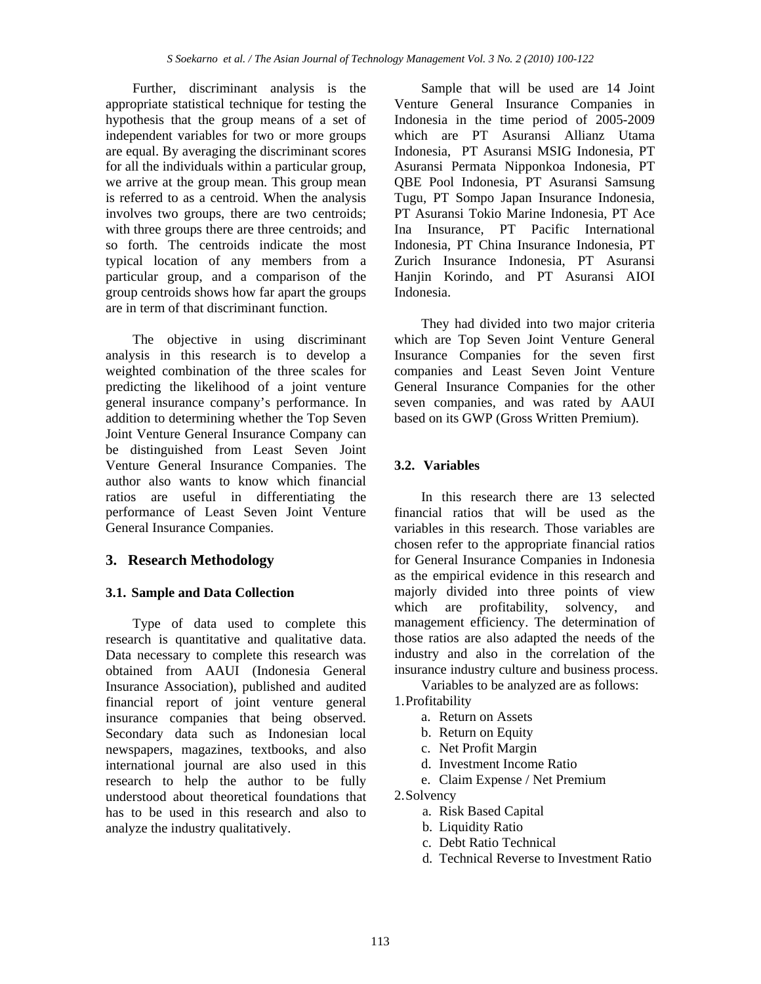Further, discriminant analysis is the appropriate statistical technique for testing the hypothesis that the group means of a set of independent variables for two or more groups are equal. By averaging the discriminant scores for all the individuals within a particular group, we arrive at the group mean. This group mean is referred to as a centroid. When the analysis involves two groups, there are two centroids; with three groups there are three centroids; and so forth. The centroids indicate the most typical location of any members from a particular group, and a comparison of the group centroids shows how far apart the groups are in term of that discriminant function.

The objective in using discriminant analysis in this research is to develop a weighted combination of the three scales for predicting the likelihood of a joint venture general insurance company's performance. In addition to determining whether the Top Seven Joint Venture General Insurance Company can be distinguished from Least Seven Joint Venture General Insurance Companies. The author also wants to know which financial ratios are useful in differentiating the performance of Least Seven Joint Venture General Insurance Companies.

## **3. Research Methodology**

#### **3.1. Sample and Data Collection**

Type of data used to complete this research is quantitative and qualitative data. Data necessary to complete this research was obtained from AAUI (Indonesia General Insurance Association), published and audited financial report of joint venture general insurance companies that being observed. Secondary data such as Indonesian local newspapers, magazines, textbooks, and also international journal are also used in this research to help the author to be fully understood about theoretical foundations that has to be used in this research and also to analyze the industry qualitatively.

Sample that will be used are 14 Joint Venture General Insurance Companies in Indonesia in the time period of 2005-2009 which are PT Asuransi Allianz Utama Indonesia, PT Asuransi MSIG Indonesia, PT Asuransi Permata Nipponkoa Indonesia, PT QBE Pool Indonesia, PT Asuransi Samsung Tugu, PT Sompo Japan Insurance Indonesia, PT Asuransi Tokio Marine Indonesia, PT Ace Ina Insurance, PT Pacific International Indonesia, PT China Insurance Indonesia, PT Zurich Insurance Indonesia, PT Asuransi Hanjin Korindo, and PT Asuransi AIOI Indonesia.

They had divided into two major criteria which are Top Seven Joint Venture General Insurance Companies for the seven first companies and Least Seven Joint Venture General Insurance Companies for the other seven companies, and was rated by AAUI based on its GWP (Gross Written Premium).

## **3.2. Variables**

In this research there are 13 selected financial ratios that will be used as the variables in this research. Those variables are chosen refer to the appropriate financial ratios for General Insurance Companies in Indonesia as the empirical evidence in this research and majorly divided into three points of view which are profitability, solvency, and management efficiency. The determination of those ratios are also adapted the needs of the industry and also in the correlation of the insurance industry culture and business process.

Variables to be analyzed are as follows:

- 1.Profitability
	- a. Return on Assets
	- b. Return on Equity
	- c. Net Profit Margin
	- d. Investment Income Ratio
	- e. Claim Expense / Net Premium

2.Solvency

- a. Risk Based Capital
- b. Liquidity Ratio
- c. Debt Ratio Technical
- d. Technical Reverse to Investment Ratio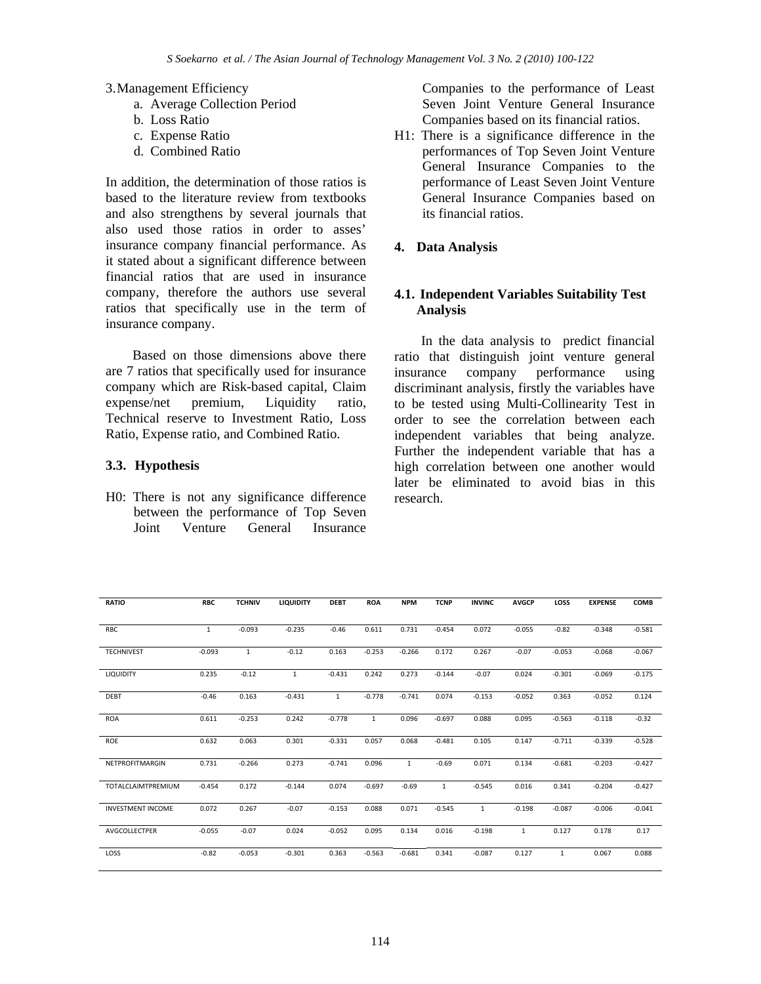#### 3.Management Efficiency

- a. Average Collection Period
- b. Loss Ratio
- c. Expense Ratio
- d. Combined Ratio

In addition, the determination of those ratios is based to the literature review from textbooks and also strengthens by several journals that also used those ratios in order to asses' insurance company financial performance. As it stated about a significant difference between financial ratios that are used in insurance company, therefore the authors use several ratios that specifically use in the term of insurance company.

Based on those dimensions above there are 7 ratios that specifically used for insurance company which are Risk-based capital, Claim expense/net premium, Liquidity ratio, Technical reserve to Investment Ratio, Loss Ratio, Expense ratio, and Combined Ratio.

#### **3.3. Hypothesis**

H0: There is not any significance difference between the performance of Top Seven Joint Venture General Insurance Companies to the performance of Least Seven Joint Venture General Insurance Companies based on its financial ratios.

H1: There is a significance difference in the performances of Top Seven Joint Venture General Insurance Companies to the performance of Least Seven Joint Venture General Insurance Companies based on its financial ratios.

### **4. Data Analysis**

#### **4.1. Independent Variables Suitability Test Analysis**

In the data analysis to predict financial ratio that distinguish joint venture general insurance company performance using discriminant analysis, firstly the variables have to be tested using Multi-Collinearity Test in order to see the correlation between each independent variables that being analyze. Further the independent variable that has a high correlation between one another would later be eliminated to avoid bias in this research.

| <b>RATIO</b>             | <b>RBC</b>   | <b>TCHNIV</b> | <b>LIQUIDITY</b> | <b>DEBT</b>  | <b>ROA</b>   | <b>NPM</b>   | <b>TCNP</b>  | <b>INVINC</b> | <b>AVGCP</b> | LOSS         | <b>EXPENSE</b> | COMB     |
|--------------------------|--------------|---------------|------------------|--------------|--------------|--------------|--------------|---------------|--------------|--------------|----------------|----------|
| RBC                      | $\mathbf{1}$ | $-0.093$      | $-0.235$         | $-0.46$      | 0.611        | 0.731        | $-0.454$     | 0.072         | $-0.055$     | $-0.82$      | $-0.348$       | $-0.581$ |
|                          |              |               |                  |              |              |              |              |               |              |              |                |          |
| <b>TECHNIVEST</b>        | $-0.093$     | $\mathbf{1}$  | $-0.12$          | 0.163        | $-0.253$     | $-0.266$     | 0.172        | 0.267         | $-0.07$      | $-0.053$     | $-0.068$       | $-0.067$ |
| LIQUIDITY                | 0.235        | $-0.12$       | $\mathbf{1}$     | $-0.431$     | 0.242        | 0.273        | $-0.144$     | $-0.07$       | 0.024        | $-0.301$     | $-0.069$       | $-0.175$ |
| DEBT                     | $-0.46$      | 0.163         | $-0.431$         | $\mathbf{1}$ | $-0.778$     | $-0.741$     | 0.074        | $-0.153$      | $-0.052$     | 0.363        | $-0.052$       | 0.124    |
| ROA                      | 0.611        | $-0.253$      | 0.242            | $-0.778$     | $\mathbf{1}$ | 0.096        | $-0.697$     | 0.088         | 0.095        | $-0.563$     | $-0.118$       | $-0.32$  |
| ROE                      | 0.632        | 0.063         | 0.301            | $-0.331$     | 0.057        | 0.068        | $-0.481$     | 0.105         | 0.147        | $-0.711$     | $-0.339$       | $-0.528$ |
| NETPROFITMARGIN          | 0.731        | $-0.266$      | 0.273            | $-0.741$     | 0.096        | $\mathbf{1}$ | $-0.69$      | 0.071         | 0.134        | $-0.681$     | $-0.203$       | $-0.427$ |
| TOTALCLAIMTPREMIUM       | $-0.454$     | 0.172         | $-0.144$         | 0.074        | $-0.697$     | $-0.69$      | $\mathbf{1}$ | $-0.545$      | 0.016        | 0.341        | $-0.204$       | $-0.427$ |
| <b>INVESTMENT INCOME</b> | 0.072        | 0.267         | $-0.07$          | $-0.153$     | 0.088        | 0.071        | $-0.545$     | 1             | $-0.198$     | $-0.087$     | $-0.006$       | $-0.041$ |
| AVGCOLLECTPER            | $-0.055$     | $-0.07$       | 0.024            | $-0.052$     | 0.095        | 0.134        | 0.016        | $-0.198$      | $\mathbf{1}$ | 0.127        | 0.178          | 0.17     |
| LOSS                     | $-0.82$      | $-0.053$      | $-0.301$         | 0.363        | $-0.563$     | $-0.681$     | 0.341        | $-0.087$      | 0.127        | $\mathbf{1}$ | 0.067          | 0.088    |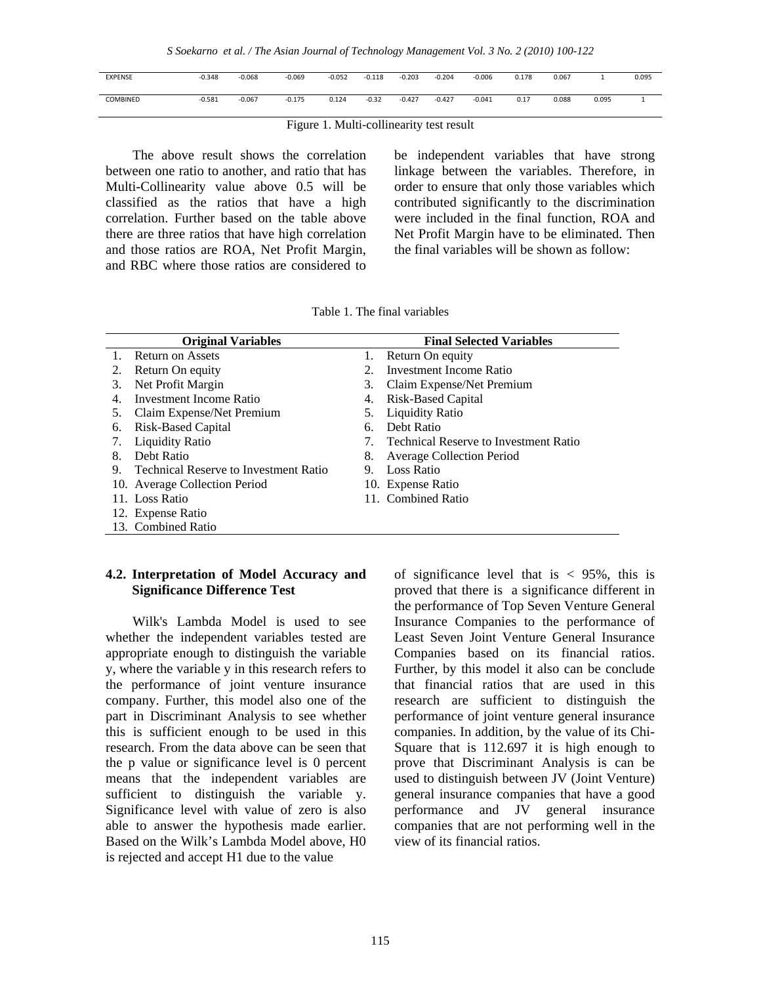*S Soekarno et al. / The Asian Journal of Technology Management Vol. 3 No. 2 (2010) 100-122* 

| <b>EXPENSE</b> | $-0.348$ | $-0.068$ | $-0.069$ | $-0.052$ | $-0.118$ | $-0.203$ | $-0.204$ | $-0.006$ | 0.178 | 0.067 |       | 0.095 |
|----------------|----------|----------|----------|----------|----------|----------|----------|----------|-------|-------|-------|-------|
|                |          |          |          |          |          |          |          |          |       |       |       |       |
|                |          |          |          |          |          |          |          |          |       |       |       |       |
| COMBINED       | $-0.581$ | $-0.067$ | $-0.175$ | 0.124    | $-0.32$  | $-0.427$ | $-0.427$ | $-0.041$ | 0.17  | 0.088 | 0.095 |       |
|                |          |          |          |          |          |          |          |          |       |       |       |       |
|                |          |          |          |          |          |          |          |          |       |       |       |       |

Figure 1. Multi-collinearity test result

The above result shows the correlation between one ratio to another, and ratio that has Multi-Collinearity value above 0.5 will be classified as the ratios that have a high correlation. Further based on the table above there are three ratios that have high correlation and those ratios are ROA, Net Profit Margin, and RBC where those ratios are considered to

be independent variables that have strong linkage between the variables. Therefore, in order to ensure that only those variables which contributed significantly to the discrimination were included in the final function, ROA and Net Profit Margin have to be eliminated. Then the final variables will be shown as follow:

|              | <b>Original Variables</b>                    |    | <b>Final Selected Variables</b>              |
|--------------|----------------------------------------------|----|----------------------------------------------|
|              | Return on Assets                             | 1. | Return On equity                             |
| 2.           | Return On equity                             | 2. | Investment Income Ratio                      |
| 3.           | Net Profit Margin                            | 3. | Claim Expense/Net Premium                    |
| $\mathbf{4}$ | Investment Income Ratio                      | 4. | Risk-Based Capital                           |
| 5.           | Claim Expense/Net Premium                    | 5. | <b>Liquidity Ratio</b>                       |
| 6.           | Risk-Based Capital                           | 6. | Debt Ratio                                   |
| 7.           | <b>Liquidity Ratio</b>                       | 7. | <b>Technical Reserve to Investment Ratio</b> |
| 8.           | Debt Ratio                                   | 8. | <b>Average Collection Period</b>             |
| 9.           | <b>Technical Reserve to Investment Ratio</b> | 9. | Loss Ratio                                   |
|              | 10. Average Collection Period                |    | 10. Expense Ratio                            |
|              | 11. Loss Ratio                               |    | 11. Combined Ratio                           |
|              | 12. Expense Ratio                            |    |                                              |
|              | 13. Combined Ratio                           |    |                                              |

Table 1. The final variables

#### **4.2. Interpretation of Model Accuracy and Significance Difference Test**

Wilk's Lambda Model is used to see whether the independent variables tested are appropriate enough to distinguish the variable y, where the variable y in this research refers to the performance of joint venture insurance company. Further, this model also one of the part in Discriminant Analysis to see whether this is sufficient enough to be used in this research. From the data above can be seen that the p value or significance level is 0 percent means that the independent variables are sufficient to distinguish the variable y. Significance level with value of zero is also able to answer the hypothesis made earlier. Based on the Wilk's Lambda Model above, H0 is rejected and accept H1 due to the value

of significance level that is  $\langle 95\%, \text{ this is} \rangle$ proved that there is a significance different in the performance of Top Seven Venture General Insurance Companies to the performance of Least Seven Joint Venture General Insurance Companies based on its financial ratios. Further, by this model it also can be conclude that financial ratios that are used in this research are sufficient to distinguish the performance of joint venture general insurance companies. In addition, by the value of its Chi-Square that is 112.697 it is high enough to prove that Discriminant Analysis is can be used to distinguish between JV (Joint Venture) general insurance companies that have a good performance and JV general insurance companies that are not performing well in the view of its financial ratios.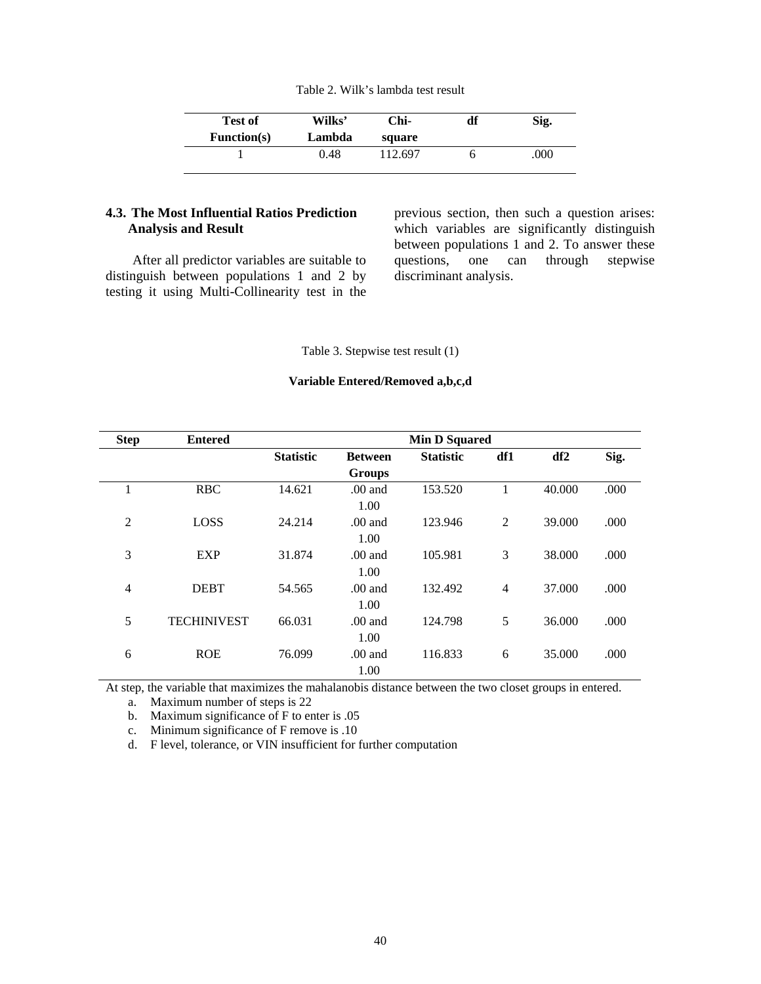| Table 2. Wilk's lambda test result |  |  |
|------------------------------------|--|--|
|------------------------------------|--|--|

| <b>Test of</b>     | Wilks' | Chi-    | df | Sig. |
|--------------------|--------|---------|----|------|
| <b>Function(s)</b> | Lambda | square  |    |      |
|                    | 0.48   | 112.697 |    | .000 |

#### **4.3. The Most Influential Ratios Prediction Analysis and Result**

After all predictor variables are suitable to distinguish between populations 1 and 2 by testing it using Multi-Collinearity test in the

previous section, then such a question arises: which variables are significantly distinguish between populations 1 and 2. To answer these questions, one can through stepwise discriminant analysis.

Table 3. Stepwise test result (1)

#### **Variable Entered/Removed a,b,c,d**

| <b>Step</b>    | <b>Entered</b>     |                  |                | <b>Min D Squared</b> |                |                 |      |
|----------------|--------------------|------------------|----------------|----------------------|----------------|-----------------|------|
|                |                    | <b>Statistic</b> | <b>Between</b> | <b>Statistic</b>     | df1            | df <sub>2</sub> | Sig. |
|                |                    |                  | <b>Groups</b>  |                      |                |                 |      |
| 1              | <b>RBC</b>         | 14.621           | $.00$ and      | 153.520              | 1              | 40.000          | .000 |
|                |                    |                  | 1.00           |                      |                |                 |      |
| $\overline{2}$ | LOSS               | 24.214           | $.00$ and      | 123.946              | 2              | 39.000          | .000 |
|                |                    |                  | 1.00           |                      |                |                 |      |
| 3              | <b>EXP</b>         | 31.874           | $.00$ and      | 105.981              | 3              | 38.000          | .000 |
|                |                    |                  | 1.00           |                      |                |                 |      |
| $\overline{4}$ | <b>DEBT</b>        | 54.565           | $.00$ and      | 132.492              | $\overline{4}$ | 37.000          | .000 |
|                |                    |                  | 1.00           |                      |                |                 |      |
| 5              | <b>TECHINIVEST</b> | 66.031           | $.00$ and      | 124.798              | 5              | 36.000          | .000 |
|                |                    |                  | 1.00           |                      |                |                 |      |
| 6              | <b>ROE</b>         | 76.099           | $.00$ and      | 116.833              | 6              | 35,000          | .000 |
|                |                    |                  | 1.00           |                      |                |                 |      |

At step, the variable that maximizes the mahalanobis distance between the two closet groups in entered.

a. Maximum number of steps is 22

b. Maximum significance of F to enter is .05

c. Minimum significance of F remove is .10

d. F level, tolerance, or VIN insufficient for further computation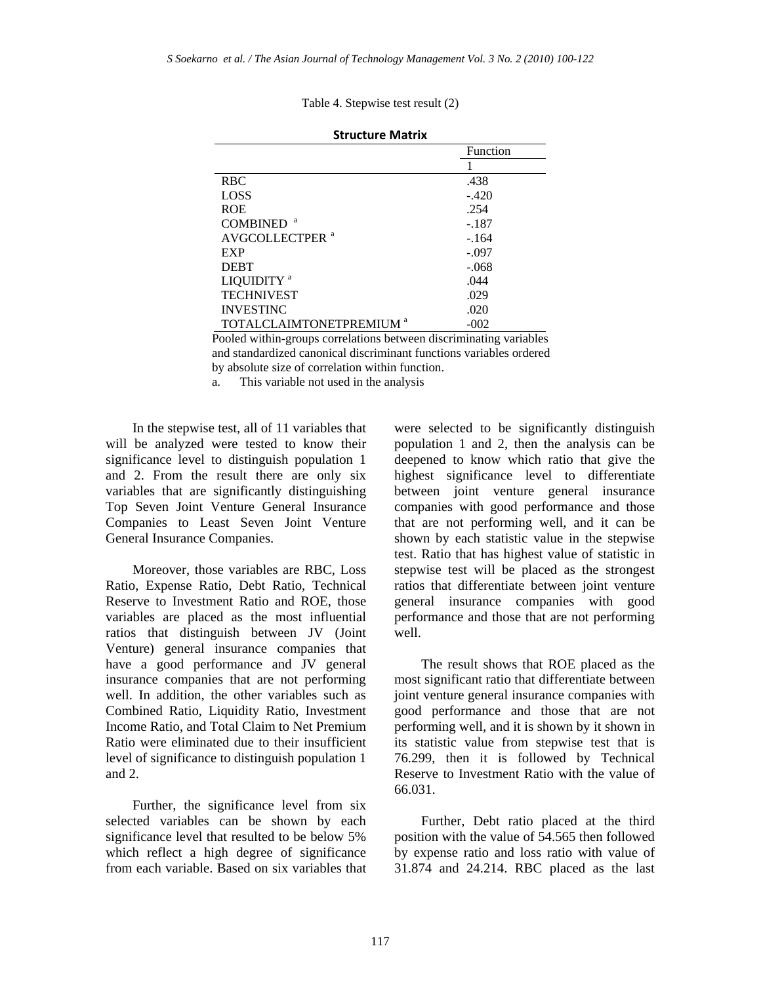Table 4. Stepwise test result (2)

|                                     | <b>Function</b> |
|-------------------------------------|-----------------|
|                                     |                 |
| <b>RBC</b>                          | .438            |
| LOSS                                | $-.420$         |
| <b>ROE</b>                          | .254            |
| <b>COMBINED</b>                     | $-.187$         |
| AVGCOLLECTPER <sup>a</sup>          | $-.164$         |
| EXP                                 | $-.097$         |
| <b>DEBT</b>                         | $-.068$         |
| LIQUIDITY <sup>a</sup>              | .044            |
| <b>TECHNIVEST</b>                   | .029            |
| <b>INVESTINC</b>                    | .020            |
| TOTALCLAIMTONETPREMIUM <sup>a</sup> | $-002$          |

Pooled within-groups correlations between discriminating variables and standardized canonical discriminant functions variables ordered by absolute size of correlation within function.

a. This variable not used in the analysis

In the stepwise test, all of 11 variables that will be analyzed were tested to know their significance level to distinguish population 1 and 2. From the result there are only six variables that are significantly distinguishing Top Seven Joint Venture General Insurance Companies to Least Seven Joint Venture General Insurance Companies.

Moreover, those variables are RBC, Loss Ratio, Expense Ratio, Debt Ratio, Technical Reserve to Investment Ratio and ROE, those variables are placed as the most influential ratios that distinguish between JV (Joint Venture) general insurance companies that have a good performance and JV general insurance companies that are not performing well. In addition, the other variables such as Combined Ratio, Liquidity Ratio, Investment Income Ratio, and Total Claim to Net Premium Ratio were eliminated due to their insufficient level of significance to distinguish population 1 and 2.

Further, the significance level from six selected variables can be shown by each significance level that resulted to be below 5% which reflect a high degree of significance from each variable. Based on six variables that were selected to be significantly distinguish population 1 and 2, then the analysis can be deepened to know which ratio that give the highest significance level to differentiate between joint venture general insurance companies with good performance and those that are not performing well, and it can be shown by each statistic value in the stepwise test. Ratio that has highest value of statistic in stepwise test will be placed as the strongest ratios that differentiate between joint venture general insurance companies with good performance and those that are not performing well.

The result shows that ROE placed as the most significant ratio that differentiate between joint venture general insurance companies with good performance and those that are not performing well, and it is shown by it shown in its statistic value from stepwise test that is 76.299, then it is followed by Technical Reserve to Investment Ratio with the value of 66.031.

Further, Debt ratio placed at the third position with the value of 54.565 then followed by expense ratio and loss ratio with value of 31.874 and 24.214. RBC placed as the last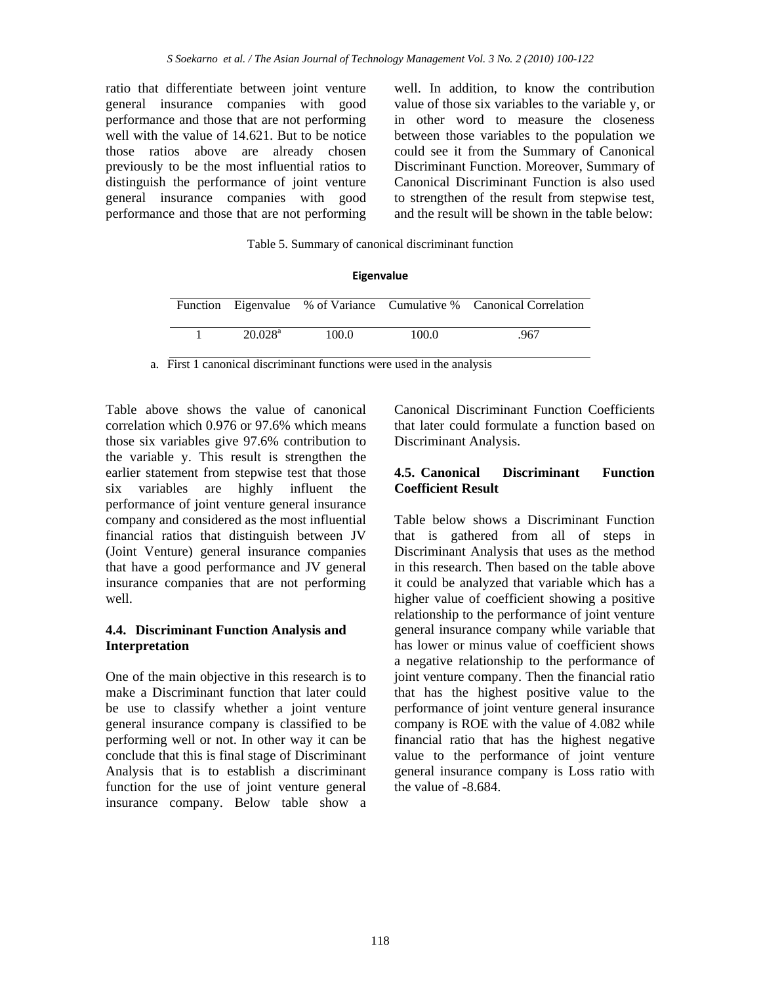ratio that differentiate between joint venture general insurance companies with good performance and those that are not performing well with the value of 14.621. But to be notice those ratios above are already chosen previously to be the most influential ratios to distinguish the performance of joint venture general insurance companies with good performance and those that are not performing

well. In addition, to know the contribution value of those six variables to the variable y, or in other word to measure the closeness between those variables to the population we could see it from the Summary of Canonical Discriminant Function. Moreover, Summary of Canonical Discriminant Function is also used to strengthen of the result from stepwise test, and the result will be shown in the table below:

Table 5. Summary of canonical discriminant function

**Eigenvalue**

|                     |       |       | Function Eigenvalue % of Variance Cumulative % Canonical Correlation |
|---------------------|-------|-------|----------------------------------------------------------------------|
| 20.028 <sup>a</sup> | 100.0 | 100.0 | .967                                                                 |

a. First 1 canonical discriminant functions were used in the analysis

Table above shows the value of canonical correlation which 0.976 or 97.6% which means those six variables give 97.6% contribution to the variable y. This result is strengthen the earlier statement from stepwise test that those six variables are highly influent the performance of joint venture general insurance company and considered as the most influential financial ratios that distinguish between JV (Joint Venture) general insurance companies that have a good performance and JV general insurance companies that are not performing well.

### **4.4. Discriminant Function Analysis and Interpretation**

One of the main objective in this research is to make a Discriminant function that later could be use to classify whether a joint venture general insurance company is classified to be performing well or not. In other way it can be conclude that this is final stage of Discriminant Analysis that is to establish a discriminant function for the use of joint venture general insurance company. Below table show a

Canonical Discriminant Function Coefficients that later could formulate a function based on Discriminant Analysis.

### **4.5. Canonical Discriminant Function Coefficient Result**

Table below shows a Discriminant Function that is gathered from all of steps in Discriminant Analysis that uses as the method in this research. Then based on the table above it could be analyzed that variable which has a higher value of coefficient showing a positive relationship to the performance of joint venture general insurance company while variable that has lower or minus value of coefficient shows a negative relationship to the performance of joint venture company. Then the financial ratio that has the highest positive value to the performance of joint venture general insurance company is ROE with the value of 4.082 while financial ratio that has the highest negative value to the performance of joint venture general insurance company is Loss ratio with the value of -8.684.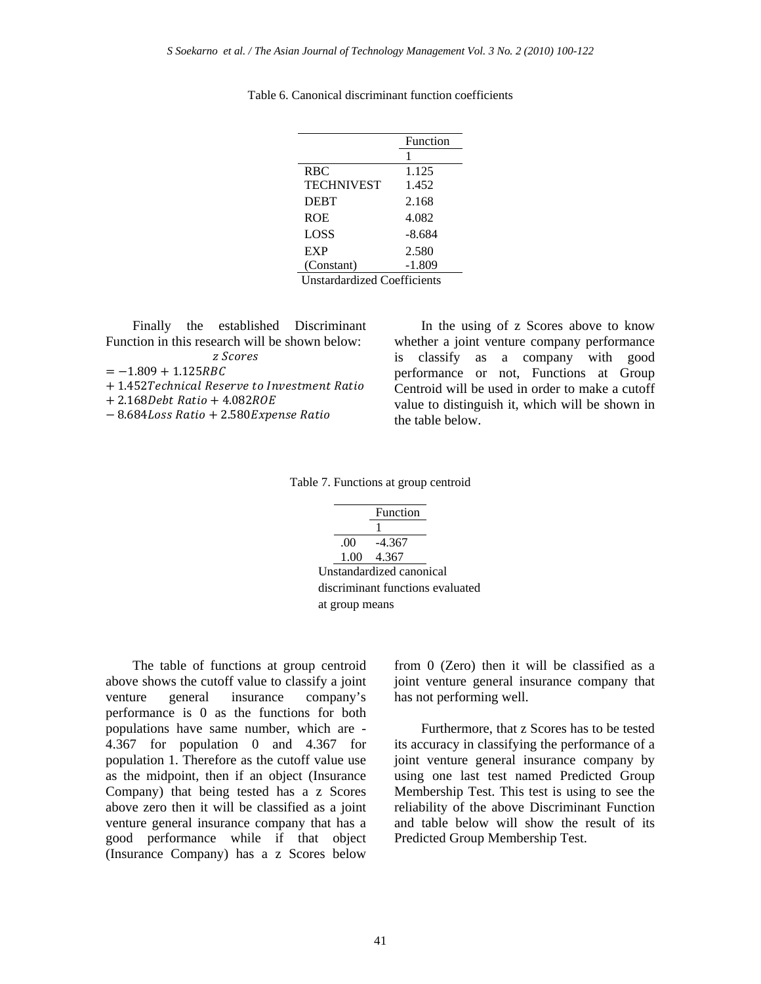|                   | Function |
|-------------------|----------|
|                   | 1        |
| <b>RBC</b>        | 1.125    |
| <b>TECHNIVEST</b> | 1.452    |
| <b>DEBT</b>       | 2.168    |
| <b>ROE</b>        | 4.082    |
| LOSS              | -8.684   |
| EXP               | 2.580    |
| (Constant)        | $-1.809$ |

Table 6. Canonical discriminant function coefficients

Finally the established Discriminant Function in this research will be shown below: z Scores

 $= -1.809 + 1.125$ RBC

- $+$  1.452Technical Reserve to Investment Ratio
- $+ 2.168$ Debt Ratio  $+ 4.082$ ROE
- $-8.684$ Loss Ratio + 2.580 Expense Ratio

In the using of z Scores above to know whether a joint venture company performance is classify as a company with good performance or not, Functions at Group Centroid will be used in order to make a cutoff value to distinguish it, which will be shown in the table below.

Table 7. Functions at group centroid

|                | Function                 |                                  |
|----------------|--------------------------|----------------------------------|
|                |                          |                                  |
|                | $.00 -4.367$             |                                  |
|                | 1.00 4.367               |                                  |
|                | Unstandardized canonical |                                  |
|                |                          | discriminant functions evaluated |
| at group means |                          |                                  |

The table of functions at group centroid above shows the cutoff value to classify a joint venture general insurance company's performance is 0 as the functions for both populations have same number, which are - 4.367 for population 0 and 4.367 for population 1. Therefore as the cutoff value use as the midpoint, then if an object (Insurance Company) that being tested has a z Scores above zero then it will be classified as a joint venture general insurance company that has a good performance while if that object (Insurance Company) has a z Scores below

from 0 (Zero) then it will be classified as a joint venture general insurance company that has not performing well.

Furthermore, that z Scores has to be tested its accuracy in classifying the performance of a joint venture general insurance company by using one last test named Predicted Group Membership Test. This test is using to see the reliability of the above Discriminant Function and table below will show the result of its Predicted Group Membership Test.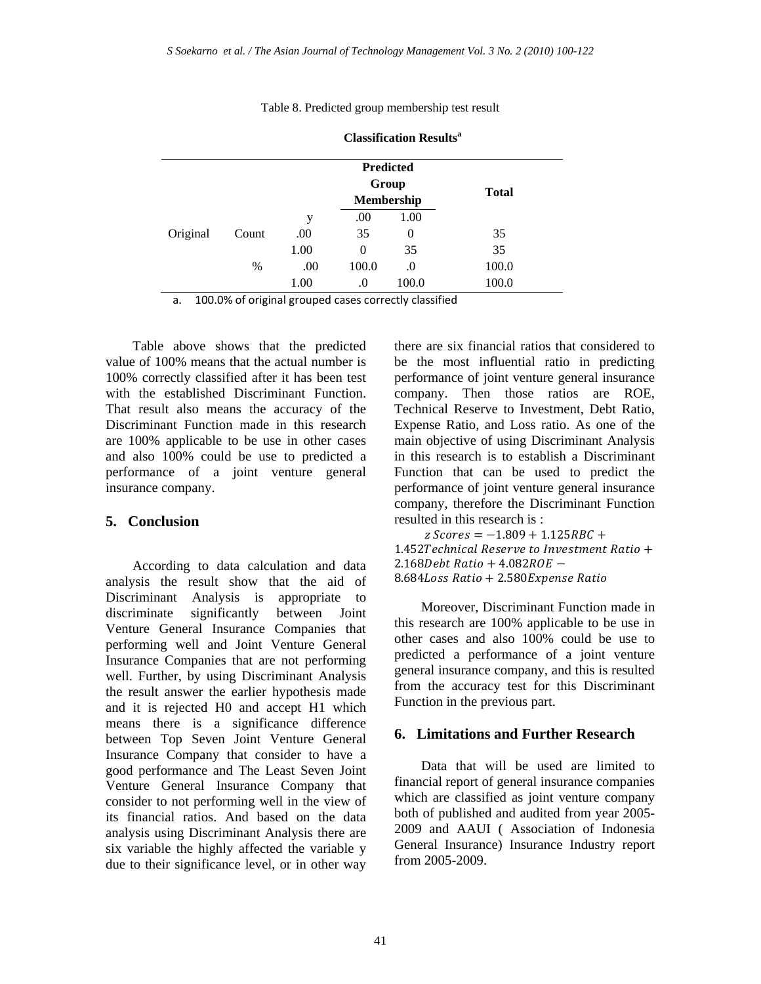Table 8. Predicted group membership test result

|          |       |      |       | <b>Predicted</b>    |              |
|----------|-------|------|-------|---------------------|--------------|
|          |       |      |       | Group<br>Membership | <b>Total</b> |
|          |       | у    | .00   | 1.00                |              |
| Original | Count | .00  | 35    | 0                   | 35           |
|          |       | 1.00 | 0     | 35                  | 35           |
|          | %     | .00  | 100.0 | .0                  | 100.0        |
|          |       | 1.00 | .0    | 100.0               | 100.0        |

**Classification Results<sup>a</sup>**

a. 100.0% of original grouped cases correctly classified

Table above shows that the predicted value of 100% means that the actual number is 100% correctly classified after it has been test with the established Discriminant Function. That result also means the accuracy of the Discriminant Function made in this research are 100% applicable to be use in other cases and also 100% could be use to predicted a performance of a joint venture general insurance company.

#### **5. Conclusion**

According to data calculation and data analysis the result show that the aid of Discriminant Analysis is appropriate to discriminate significantly between Joint Venture General Insurance Companies that performing well and Joint Venture General Insurance Companies that are not performing well. Further, by using Discriminant Analysis the result answer the earlier hypothesis made and it is rejected H0 and accept H1 which means there is a significance difference between Top Seven Joint Venture General Insurance Company that consider to have a good performance and The Least Seven Joint Venture General Insurance Company that consider to not performing well in the view of its financial ratios. And based on the data analysis using Discriminant Analysis there are six variable the highly affected the variable y due to their significance level, or in other way

there are six financial ratios that considered to be the most influential ratio in predicting performance of joint venture general insurance company. Then those ratios are ROE, Technical Reserve to Investment, Debt Ratio, Expense Ratio, and Loss ratio. As one of the main objective of using Discriminant Analysis in this research is to establish a Discriminant Function that can be used to predict the performance of joint venture general insurance company, therefore the Discriminant Function resulted in this research is :

 $z$  Scores =  $-1.809 + 1.125$ RBC + 1.452Technical Reserve to Investment Ratio +  $2.168$ Debt Ratio +  $4.082$ ROE  $-$ 8.684Loss Ratio + 2.580 Expense Ratio

Moreover, Discriminant Function made in this research are 100% applicable to be use in other cases and also 100% could be use to predicted a performance of a joint venture general insurance company, and this is resulted from the accuracy test for this Discriminant Function in the previous part.

#### **6. Limitations and Further Research**

Data that will be used are limited to financial report of general insurance companies which are classified as joint venture company both of published and audited from year 2005- 2009 and AAUI ( Association of Indonesia General Insurance) Insurance Industry report from 2005-2009.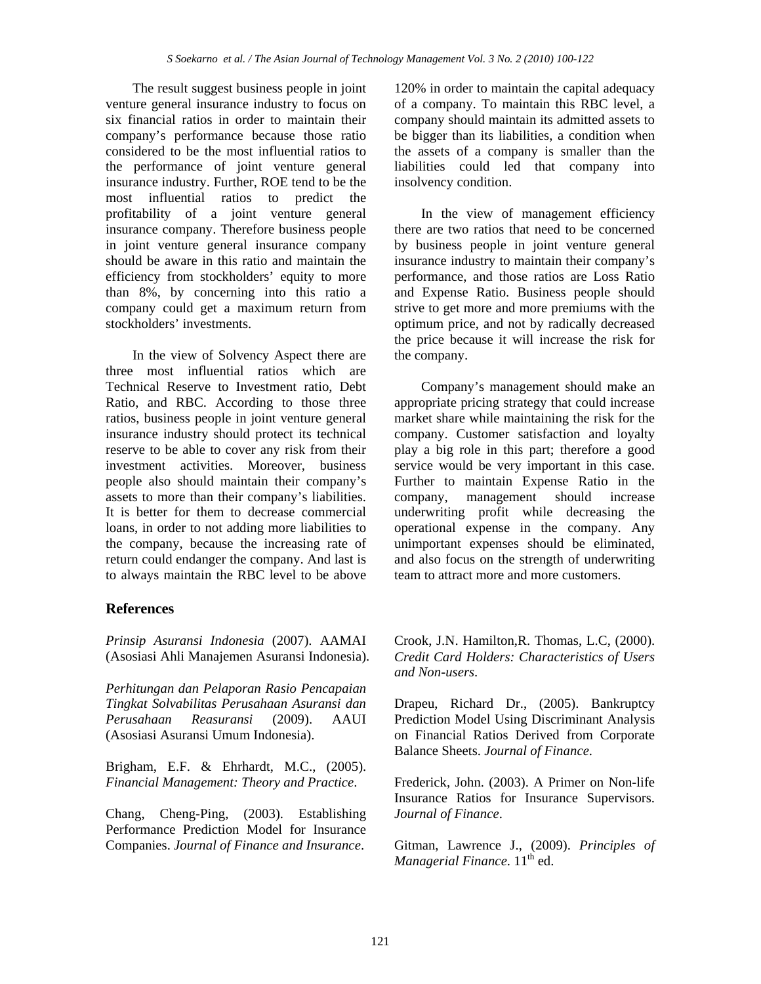The result suggest business people in joint venture general insurance industry to focus on six financial ratios in order to maintain their company's performance because those ratio considered to be the most influential ratios to the performance of joint venture general insurance industry. Further, ROE tend to be the most influential ratios to predict the profitability of a joint venture general insurance company. Therefore business people in joint venture general insurance company should be aware in this ratio and maintain the efficiency from stockholders' equity to more than 8%, by concerning into this ratio a company could get a maximum return from stockholders' investments.

In the view of Solvency Aspect there are three most influential ratios which are Technical Reserve to Investment ratio, Debt Ratio, and RBC. According to those three ratios, business people in joint venture general insurance industry should protect its technical reserve to be able to cover any risk from their investment activities. Moreover, business people also should maintain their company's assets to more than their company's liabilities. It is better for them to decrease commercial loans, in order to not adding more liabilities to the company, because the increasing rate of return could endanger the company. And last is to always maintain the RBC level to be above

## **References**

*Prinsip Asuransi Indonesia* (2007). AAMAI (Asosiasi Ahli Manajemen Asuransi Indonesia).

*Perhitungan dan Pelaporan Rasio Pencapaian Tingkat Solvabilitas Perusahaan Asuransi dan Perusahaan Reasuransi* (2009). AAUI (Asosiasi Asuransi Umum Indonesia).

Brigham, E.F. & Ehrhardt, M.C., (2005). *Financial Management: Theory and Practice*.

Chang, Cheng-Ping, (2003). Establishing Performance Prediction Model for Insurance Companies. *Journal of Finance and Insurance*.

120% in order to maintain the capital adequacy of a company. To maintain this RBC level, a company should maintain its admitted assets to be bigger than its liabilities, a condition when the assets of a company is smaller than the liabilities could led that company into insolvency condition.

In the view of management efficiency there are two ratios that need to be concerned by business people in joint venture general insurance industry to maintain their company's performance, and those ratios are Loss Ratio and Expense Ratio. Business people should strive to get more and more premiums with the optimum price, and not by radically decreased the price because it will increase the risk for the company.

Company's management should make an appropriate pricing strategy that could increase market share while maintaining the risk for the company. Customer satisfaction and loyalty play a big role in this part; therefore a good service would be very important in this case. Further to maintain Expense Ratio in the company, management should increase underwriting profit while decreasing the operational expense in the company. Any unimportant expenses should be eliminated, and also focus on the strength of underwriting team to attract more and more customers.

Crook, J.N. Hamilton,R. Thomas, L.C, (2000). *Credit Card Holders: Characteristics of Users and Non-users*.

Drapeu, Richard Dr., (2005). Bankruptcy Prediction Model Using Discriminant Analysis on Financial Ratios Derived from Corporate Balance Sheets. *Journal of Finance*.

Frederick, John. (2003). A Primer on Non-life Insurance Ratios for Insurance Supervisors. *Journal of Finance*.

Gitman, Lawrence J., (2009). *Principles of Managerial Finance*. 11<sup>th</sup> ed.